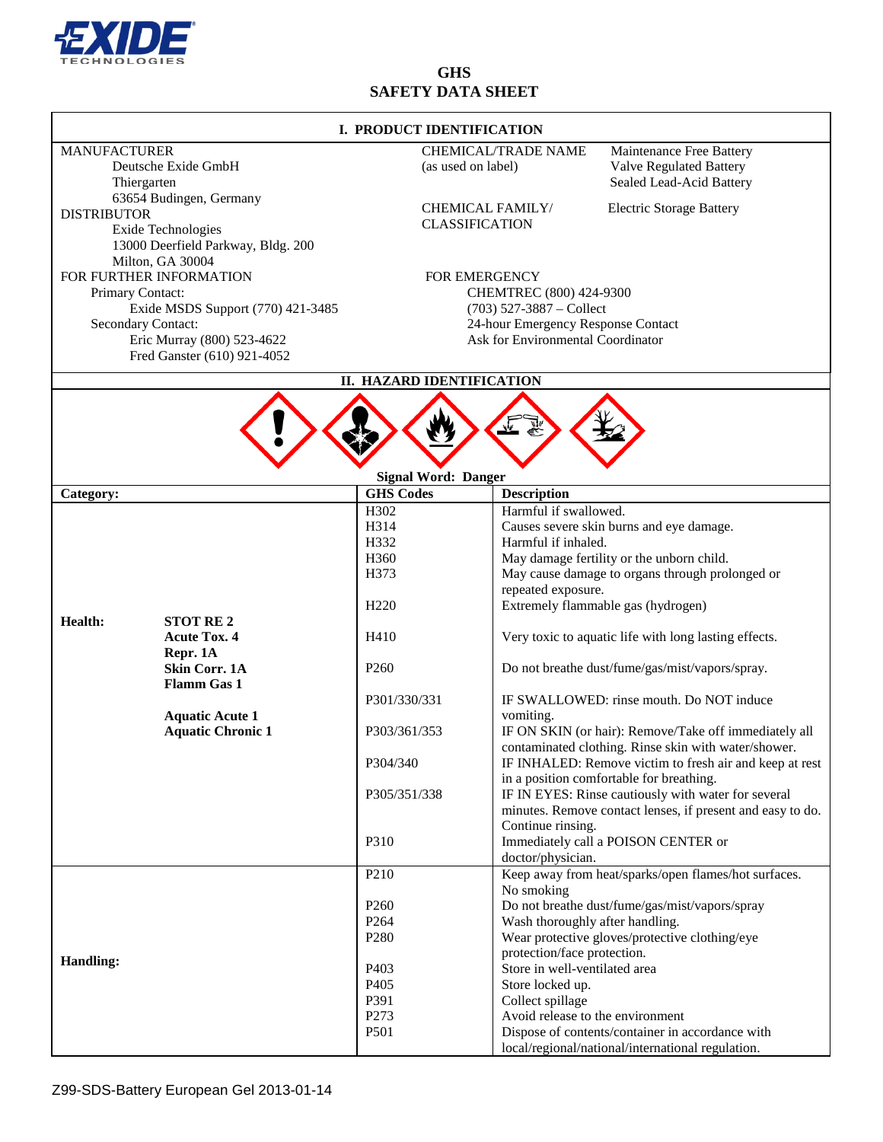

# **GHS SAFETY DATA SHEET**

| I. PRODUCT IDENTIFICATION                                                                                                                                                               |                                                    |                                                                                                                                                          |                                                                                                           |                                                                                                                                          |
|-----------------------------------------------------------------------------------------------------------------------------------------------------------------------------------------|----------------------------------------------------|----------------------------------------------------------------------------------------------------------------------------------------------------------|-----------------------------------------------------------------------------------------------------------|------------------------------------------------------------------------------------------------------------------------------------------|
| <b>MANUFACTURER</b><br>Deutsche Exide GmbH<br>Thiergarten                                                                                                                               |                                                    | (as used on label)                                                                                                                                       | <b>CHEMICAL/TRADE NAME</b>                                                                                | Maintenance Free Battery<br><b>Valve Regulated Battery</b><br>Sealed Lead-Acid Battery                                                   |
| 63654 Budingen, Germany<br><b>DISTRIBUTOR</b><br>Exide Technologies<br>13000 Deerfield Parkway, Bldg. 200                                                                               |                                                    | <b>CHEMICAL FAMILY/</b><br><b>CLASSIFICATION</b>                                                                                                         |                                                                                                           | <b>Electric Storage Battery</b>                                                                                                          |
| Milton, GA 30004<br>FOR FURTHER INFORMATION<br>Primary Contact:<br>Exide MSDS Support (770) 421-3485<br>Secondary Contact:<br>Eric Murray (800) 523-4622<br>Fred Ganster (610) 921-4052 |                                                    | <b>FOR EMERGENCY</b><br>CHEMTREC (800) 424-9300<br>$(703)$ 527-3887 - Collect<br>24-hour Emergency Response Contact<br>Ask for Environmental Coordinator |                                                                                                           |                                                                                                                                          |
|                                                                                                                                                                                         |                                                    | II. HAZARD IDENTIFICATION                                                                                                                                |                                                                                                           |                                                                                                                                          |
|                                                                                                                                                                                         |                                                    | <b>Signal Word: Danger</b>                                                                                                                               |                                                                                                           |                                                                                                                                          |
| Category:                                                                                                                                                                               |                                                    | <b>GHS Codes</b>                                                                                                                                         | <b>Description</b>                                                                                        |                                                                                                                                          |
|                                                                                                                                                                                         |                                                    | H302<br>H314<br>H332<br>H360<br>H373                                                                                                                     | Harmful if swallowed.<br>Harmful if inhaled.                                                              | Causes severe skin burns and eye damage.<br>May damage fertility or the unborn child.<br>May cause damage to organs through prolonged or |
| Health:<br><b>STOT RE2</b><br><b>Acute Tox. 4</b><br>Repr. 1A                                                                                                                           |                                                    | H <sub>220</sub>                                                                                                                                         | repeated exposure.                                                                                        | Extremely flammable gas (hydrogen)                                                                                                       |
|                                                                                                                                                                                         | Skin Corr. 1A                                      | H410<br>P <sub>260</sub>                                                                                                                                 |                                                                                                           | Very toxic to aquatic life with long lasting effects.<br>Do not breathe dust/fume/gas/mist/vapors/spray.                                 |
|                                                                                                                                                                                         | <b>Flamm Gas 1</b>                                 | P301/330/331                                                                                                                                             |                                                                                                           | IF SWALLOWED: rinse mouth. Do NOT induce                                                                                                 |
|                                                                                                                                                                                         | <b>Aquatic Acute 1</b><br><b>Aquatic Chronic 1</b> | P303/361/353                                                                                                                                             | vomiting.                                                                                                 | IF ON SKIN (or hair): Remove/Take off immediately all<br>contaminated clothing. Rinse skin with water/shower.                            |
|                                                                                                                                                                                         |                                                    | P304/340                                                                                                                                                 |                                                                                                           | IF INHALED: Remove victim to fresh air and keep at rest<br>in a position comfortable for breathing.                                      |
|                                                                                                                                                                                         |                                                    | P305/351/338                                                                                                                                             | Continue rinsing.                                                                                         | IF IN EYES: Rinse cautiously with water for several<br>minutes. Remove contact lenses, if present and easy to do.                        |
|                                                                                                                                                                                         |                                                    | P310                                                                                                                                                     | doctor/physician.                                                                                         | Immediately call a POISON CENTER or                                                                                                      |
|                                                                                                                                                                                         |                                                    | P <sub>210</sub>                                                                                                                                         | No smoking                                                                                                | Keep away from heat/sparks/open flames/hot surfaces.                                                                                     |
| <b>Handling:</b>                                                                                                                                                                        |                                                    | P <sub>260</sub><br>P <sub>264</sub><br>P <sub>280</sub>                                                                                                 | Wash thoroughly after handling.<br>protection/face protection.                                            | Do not breathe dust/fume/gas/mist/vapors/spray<br>Wear protective gloves/protective clothing/eye                                         |
|                                                                                                                                                                                         |                                                    | P403<br>P <sub>405</sub><br>P391<br>P273                                                                                                                 | Store in well-ventilated area<br>Store locked up.<br>Collect spillage<br>Avoid release to the environment |                                                                                                                                          |
|                                                                                                                                                                                         |                                                    | P501                                                                                                                                                     |                                                                                                           | Dispose of contents/container in accordance with<br>local/regional/national/international regulation.                                    |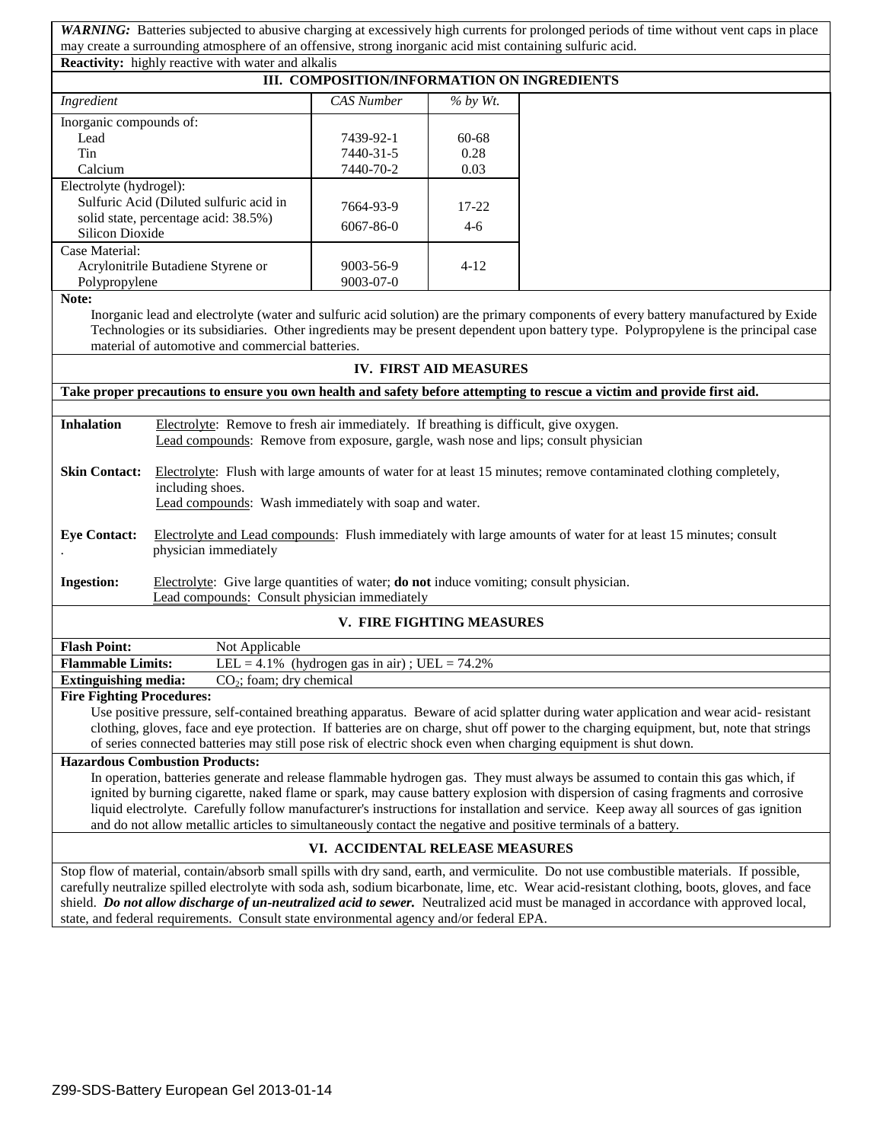*WARNING:* Batteries subjected to abusive charging at excessively high currents for prolonged periods of time without vent caps in place may create a surrounding atmosphere of an offensive, strong inorganic acid mist containing sulfuric acid. **Reactivity:** highly reactive with water and alkalis

| III. COMPOSITION/INFORMATION ON INGREDIENTS |                   |             |  |  |
|---------------------------------------------|-------------------|-------------|--|--|
| Ingredient                                  | <b>CAS</b> Number | $\%$ by Wt. |  |  |
| Inorganic compounds of:                     |                   |             |  |  |
| Lead                                        | 7439-92-1         | $60 - 68$   |  |  |
| Tin                                         | 7440-31-5         | 0.28        |  |  |
| Calcium                                     | 7440-70-2         | 0.03        |  |  |
| Electrolyte (hydrogel):                     |                   |             |  |  |
| Sulfuric Acid (Diluted sulfuric acid in     | 7664-93-9         | $17 - 22$   |  |  |
| solid state, percentage acid: 38.5%)        | $6067 - 86 - 0$   | $4-6$       |  |  |
| Silicon Dioxide                             |                   |             |  |  |
| Case Material:                              |                   |             |  |  |
| Acrylonitrile Butadiene Styrene or          | 9003-56-9         | $4 - 12$    |  |  |
| Polypropylene                               | $9003 - 07 - 0$   |             |  |  |

## **Note:**

Inorganic lead and electrolyte (water and sulfuric acid solution) are the primary components of every battery manufactured by Exide Technologies or its subsidiaries. Other ingredients may be present dependent upon battery type. Polypropylene is the principal case material of automotive and commercial batteries.

## **IV. FIRST AID MEASURES**

**Take proper precautions to ensure you own health and safety before attempting to rescue a victim and provide first aid.** 

**Inhalation** Electrolyte: Remove to fresh air immediately. If breathing is difficult, give oxygen. Lead compounds: Remove from exposure, gargle, wash nose and lips; consult physician

**Skin Contact:** Electrolyte: Flush with large amounts of water for at least 15 minutes; remove contaminated clothing completely, including shoes.

Lead compounds: Wash immediately with soap and water.

**Eye Contact:** Electrolyte and Lead compounds: Flush immediately with large amounts of water for at least 15 minutes; consult . physician immediately

**Ingestion:** Electrolyte: Give large quantities of water; **do not** induce vomiting; consult physician. Lead compounds: Consult physician immediately

# **V. FIRE FIGHTING MEASURES**

| <b>Flash Point:</b>         | Not Applicable                                   |
|-----------------------------|--------------------------------------------------|
| <b>Flammable Limits:</b>    | LEL = 4.1% (hydrogen gas in air); UEL = $74.2\%$ |
| <b>Extinguishing media:</b> | $CO2$ ; foam; dry chemical                       |

#### **Fire Fighting Procedures:**

Use positive pressure, self-contained breathing apparatus. Beware of acid splatter during water application and wear acid- resistant clothing, gloves, face and eye protection. If batteries are on charge, shut off power to the charging equipment, but, note that strings of series connected batteries may still pose risk of electric shock even when charging equipment is shut down.

# **Hazardous Combustion Products:**

In operation, batteries generate and release flammable hydrogen gas. They must always be assumed to contain this gas which, if ignited by burning cigarette, naked flame or spark, may cause battery explosion with dispersion of casing fragments and corrosive liquid electrolyte. Carefully follow manufacturer's instructions for installation and service. Keep away all sources of gas ignition and do not allow metallic articles to simultaneously contact the negative and positive terminals of a battery.

## **VI. ACCIDENTAL RELEASE MEASURES**

Stop flow of material, contain/absorb small spills with dry sand, earth, and vermiculite. Do not use combustible materials. If possible, carefully neutralize spilled electrolyte with soda ash, sodium bicarbonate, lime, etc. Wear acid-resistant clothing, boots, gloves, and face shield. *Do not allow discharge of un-neutralized acid to sewer.* Neutralized acid must be managed in accordance with approved local, state, and federal requirements. Consult state environmental agency and/or federal EPA.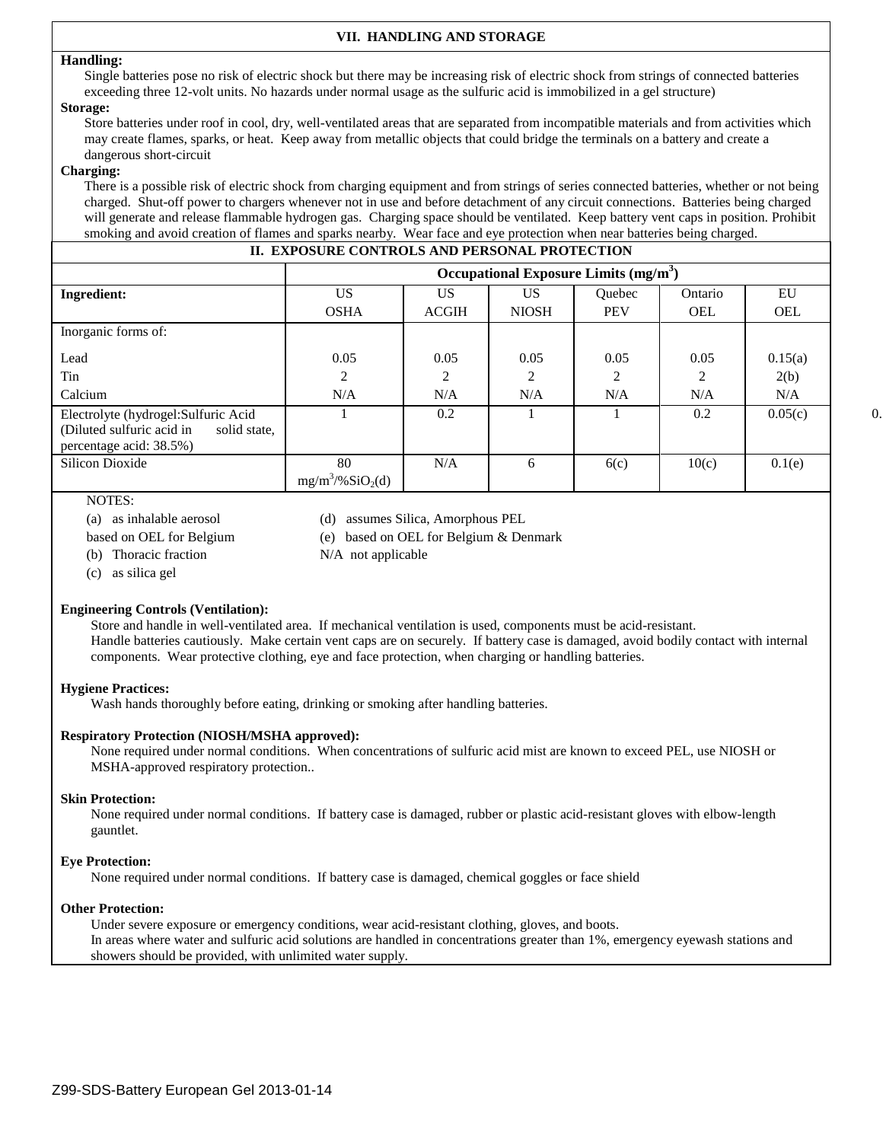# **VII. HANDLING AND STORAGE**

#### **Handling:**

Single batteries pose no risk of electric shock but there may be increasing risk of electric shock from strings of connected batteries exceeding three 12-volt units. No hazards under normal usage as the sulfuric acid is immobilized in a gel structure)

#### **Storage:**

Store batteries under roof in cool, dry, well-ventilated areas that are separated from incompatible materials and from activities which may create flames, sparks, or heat. Keep away from metallic objects that could bridge the terminals on a battery and create a dangerous short-circuit

#### **Charging:**

There is a possible risk of electric shock from charging equipment and from strings of series connected batteries, whether or not being charged. Shut-off power to chargers whenever not in use and before detachment of any circuit connections. Batteries being charged will generate and release flammable hydrogen gas. Charging space should be ventilated. Keep battery vent caps in position. Prohibit smoking and avoid creation of flames and sparks nearby. Wear face and eye protection when near batteries being charged.

# **II. EXPOSURE CONTROLS AND PERSONAL PROTECTION**

|                                                                                                              | Occupational Exposure Limits $(mg/m3)$ |              |              |               |            |            |    |
|--------------------------------------------------------------------------------------------------------------|----------------------------------------|--------------|--------------|---------------|------------|------------|----|
| <b>Ingredient:</b>                                                                                           | <b>US</b>                              | US.          | US.          | <b>Ouebec</b> | Ontario    | EU         |    |
|                                                                                                              | <b>OSHA</b>                            | <b>ACGIH</b> | <b>NIOSH</b> | <b>PEV</b>    | <b>OEL</b> | <b>OEL</b> |    |
| Inorganic forms of:                                                                                          |                                        |              |              |               |            |            |    |
| Lead                                                                                                         | 0.05                                   | 0.05         | 0.05         | 0.05          | 0.05       | 0.15(a)    |    |
| Tin                                                                                                          | 2                                      | $\bigcirc$   | $\bigcap$    | 2             | 2          | 2(b)       |    |
| Calcium                                                                                                      | N/A                                    | N/A          | N/A          | N/A           | N/A        | N/A        |    |
| Electrolyte (hydrogel: Sulfuric Acid<br>(Diluted sulfuric acid in<br>solid state,<br>percentage acid: 38.5%) |                                        | 0.2          |              |               | 0.2        | 0.05(c)    | 0. |
| Silicon Dioxide                                                                                              | 80<br>$mg/m^3/%SiO_2(d)$               | N/A          | 6            | 6(c)          | 10(c)      | 0.1(e)     |    |

# NOTES:

(a) as inhalable aerosol (d) assumes Silica, Amorphous PEL

- based on OEL for Belgium (e) based on OEL for Belgium & Denmark
- 
- (b) Thoracic fraction N/A not applicable
- (c) as silica gel

## **Engineering Controls (Ventilation):**

Store and handle in well-ventilated area. If mechanical ventilation is used, components must be acid-resistant. Handle batteries cautiously. Make certain vent caps are on securely. If battery case is damaged, avoid bodily contact with internal components. Wear protective clothing, eye and face protection, when charging or handling batteries.

## **Hygiene Practices:**

Wash hands thoroughly before eating, drinking or smoking after handling batteries.

## **Respiratory Protection (NIOSH/MSHA approved):**

None required under normal conditions. When concentrations of sulfuric acid mist are known to exceed PEL, use NIOSH or MSHA-approved respiratory protection..

#### **Skin Protection:**

None required under normal conditions. If battery case is damaged, rubber or plastic acid-resistant gloves with elbow-length gauntlet.

#### **Eye Protection:**

None required under normal conditions. If battery case is damaged, chemical goggles or face shield

#### **Other Protection:**

Under severe exposure or emergency conditions, wear acid-resistant clothing, gloves, and boots. In areas where water and sulfuric acid solutions are handled in concentrations greater than 1%, emergency eyewash stations and showers should be provided, with unlimited water supply.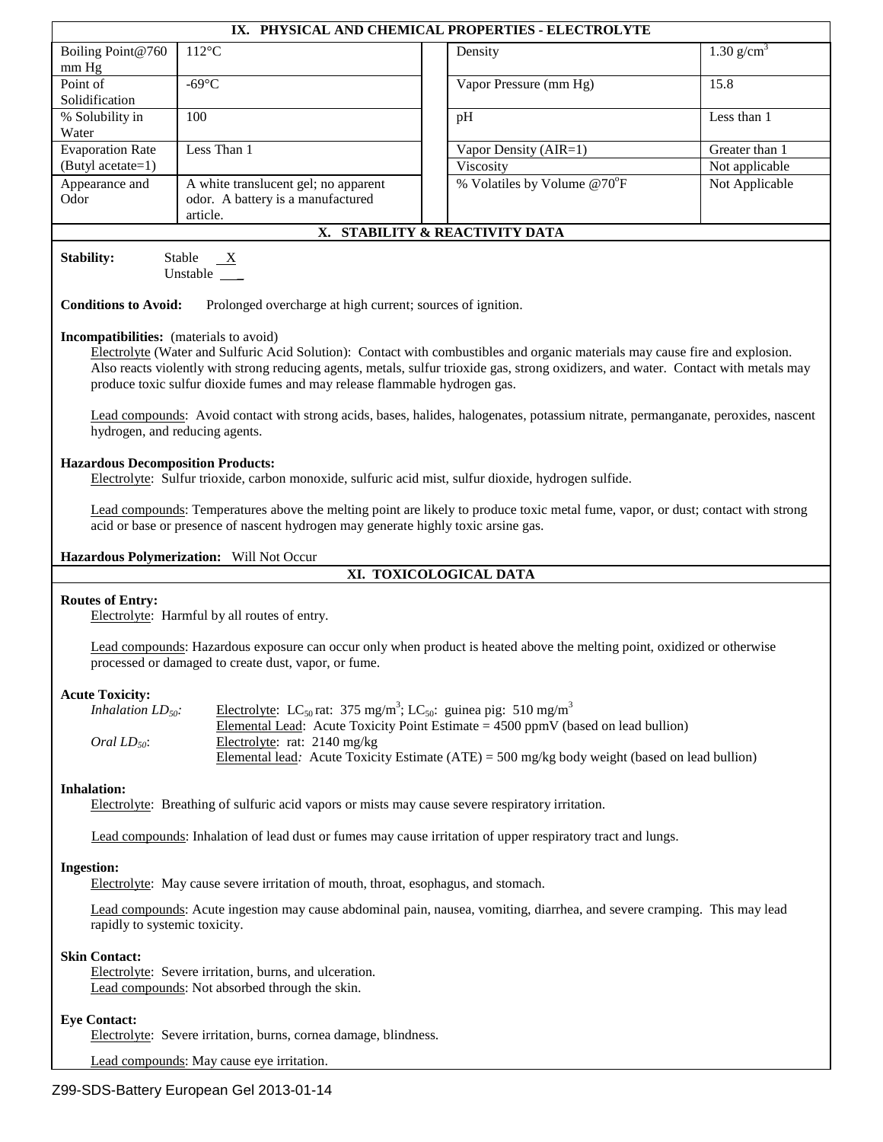| IX. PHYSICAL AND CHEMICAL PROPERTIES - ELECTROLYTE                                                                                                                                                                                                                                                                                                                         |                                                                                                                                                                                                                                                                                                                                                     |                                |                          |  |  |
|----------------------------------------------------------------------------------------------------------------------------------------------------------------------------------------------------------------------------------------------------------------------------------------------------------------------------------------------------------------------------|-----------------------------------------------------------------------------------------------------------------------------------------------------------------------------------------------------------------------------------------------------------------------------------------------------------------------------------------------------|--------------------------------|--------------------------|--|--|
| Boiling Point@760<br>mm Hg                                                                                                                                                                                                                                                                                                                                                 | $112^{\circ}$ C                                                                                                                                                                                                                                                                                                                                     | Density                        | $1.30$ g/cm <sup>3</sup> |  |  |
| Point of<br>Solidification                                                                                                                                                                                                                                                                                                                                                 | $-69^{\circ}C$                                                                                                                                                                                                                                                                                                                                      | Vapor Pressure (mm Hg)         | 15.8                     |  |  |
| % Solubility in<br>Water                                                                                                                                                                                                                                                                                                                                                   | 100                                                                                                                                                                                                                                                                                                                                                 | pH                             | Less than 1              |  |  |
| <b>Evaporation Rate</b>                                                                                                                                                                                                                                                                                                                                                    | Less Than 1                                                                                                                                                                                                                                                                                                                                         | Vapor Density (AIR=1)          | Greater than 1           |  |  |
| (Butyl acetate=1)                                                                                                                                                                                                                                                                                                                                                          |                                                                                                                                                                                                                                                                                                                                                     | Viscosity                      | Not applicable           |  |  |
| Appearance and<br>Odor                                                                                                                                                                                                                                                                                                                                                     | A white translucent gel; no apparent<br>odor. A battery is a manufactured<br>article.                                                                                                                                                                                                                                                               | % Volatiles by Volume @70°F    | Not Applicable           |  |  |
|                                                                                                                                                                                                                                                                                                                                                                            |                                                                                                                                                                                                                                                                                                                                                     | X. STABILITY & REACTIVITY DATA |                          |  |  |
| <b>Stability:</b><br><b>Conditions to Avoid:</b>                                                                                                                                                                                                                                                                                                                           | Stable<br>X<br>Unstable ___<br>Prolonged overcharge at high current; sources of ignition.                                                                                                                                                                                                                                                           |                                |                          |  |  |
| Incompatibilities: (materials to avoid)                                                                                                                                                                                                                                                                                                                                    | Electrolyte (Water and Sulfuric Acid Solution): Contact with combustibles and organic materials may cause fire and explosion.<br>Also reacts violently with strong reducing agents, metals, sulfur trioxide gas, strong oxidizers, and water. Contact with metals may<br>produce toxic sulfur dioxide fumes and may release flammable hydrogen gas. |                                |                          |  |  |
|                                                                                                                                                                                                                                                                                                                                                                            | Lead compounds: Avoid contact with strong acids, bases, halides, halogenates, potassium nitrate, permanganate, peroxides, nascent<br>hydrogen, and reducing agents.                                                                                                                                                                                 |                                |                          |  |  |
| <b>Hazardous Decomposition Products:</b><br>Electrolyte: Sulfur trioxide, carbon monoxide, sulfuric acid mist, sulfur dioxide, hydrogen sulfide.<br>Lead compounds: Temperatures above the melting point are likely to produce toxic metal fume, vapor, or dust; contact with strong<br>acid or base or presence of nascent hydrogen may generate highly toxic arsine gas. |                                                                                                                                                                                                                                                                                                                                                     |                                |                          |  |  |
| Hazardous Polymerization: Will Not Occur                                                                                                                                                                                                                                                                                                                                   |                                                                                                                                                                                                                                                                                                                                                     |                                |                          |  |  |
| XI. TOXICOLOGICAL DATA                                                                                                                                                                                                                                                                                                                                                     |                                                                                                                                                                                                                                                                                                                                                     |                                |                          |  |  |
| <b>Routes of Entry:</b>                                                                                                                                                                                                                                                                                                                                                    | Electrolyte: Harmful by all routes of entry.                                                                                                                                                                                                                                                                                                        |                                |                          |  |  |
| Lead compounds: Hazardous exposure can occur only when product is heated above the melting point, oxidized or otherwise<br>processed or damaged to create dust, vapor, or fume.                                                                                                                                                                                            |                                                                                                                                                                                                                                                                                                                                                     |                                |                          |  |  |
| <b>Acute Toxicity:</b>                                                                                                                                                                                                                                                                                                                                                     |                                                                                                                                                                                                                                                                                                                                                     |                                |                          |  |  |
| Electrolyte: LC <sub>50</sub> rat: 375 mg/m <sup>3</sup> ; LC <sub>50</sub> : guinea pig: 510 mg/m <sup>3</sup><br>Inhalation $LD_{50}$ :<br>Elemental Lead: Acute Toxicity Point Estimate = $4500$ ppmV (based on lead bullion)                                                                                                                                           |                                                                                                                                                                                                                                                                                                                                                     |                                |                          |  |  |
| Electrolyte: rat: 2140 mg/kg<br>Oral $LD_{50}$ :<br>Elemental lead: Acute Toxicity Estimate $(ATE) = 500$ mg/kg body weight (based on lead bullion)                                                                                                                                                                                                                        |                                                                                                                                                                                                                                                                                                                                                     |                                |                          |  |  |
| <b>Inhalation:</b><br>Electrolyte: Breathing of sulfuric acid vapors or mists may cause severe respiratory irritation.                                                                                                                                                                                                                                                     |                                                                                                                                                                                                                                                                                                                                                     |                                |                          |  |  |
| Lead compounds: Inhalation of lead dust or fumes may cause irritation of upper respiratory tract and lungs.                                                                                                                                                                                                                                                                |                                                                                                                                                                                                                                                                                                                                                     |                                |                          |  |  |
| <b>Ingestion:</b>                                                                                                                                                                                                                                                                                                                                                          | Electrolyte: May cause severe irritation of mouth, throat, esophagus, and stomach.                                                                                                                                                                                                                                                                  |                                |                          |  |  |
| Lead compounds: Acute ingestion may cause abdominal pain, nausea, vomiting, diarrhea, and severe cramping. This may lead<br>rapidly to systemic toxicity.                                                                                                                                                                                                                  |                                                                                                                                                                                                                                                                                                                                                     |                                |                          |  |  |
| <b>Skin Contact:</b><br>Electrolyte: Severe irritation, burns, and ulceration.<br>Lead compounds: Not absorbed through the skin.                                                                                                                                                                                                                                           |                                                                                                                                                                                                                                                                                                                                                     |                                |                          |  |  |
| <b>Eye Contact:</b>                                                                                                                                                                                                                                                                                                                                                        |                                                                                                                                                                                                                                                                                                                                                     |                                |                          |  |  |

Electrolyte: Severe irritation, burns, cornea damage, blindness.

Lead compounds: May cause eye irritation.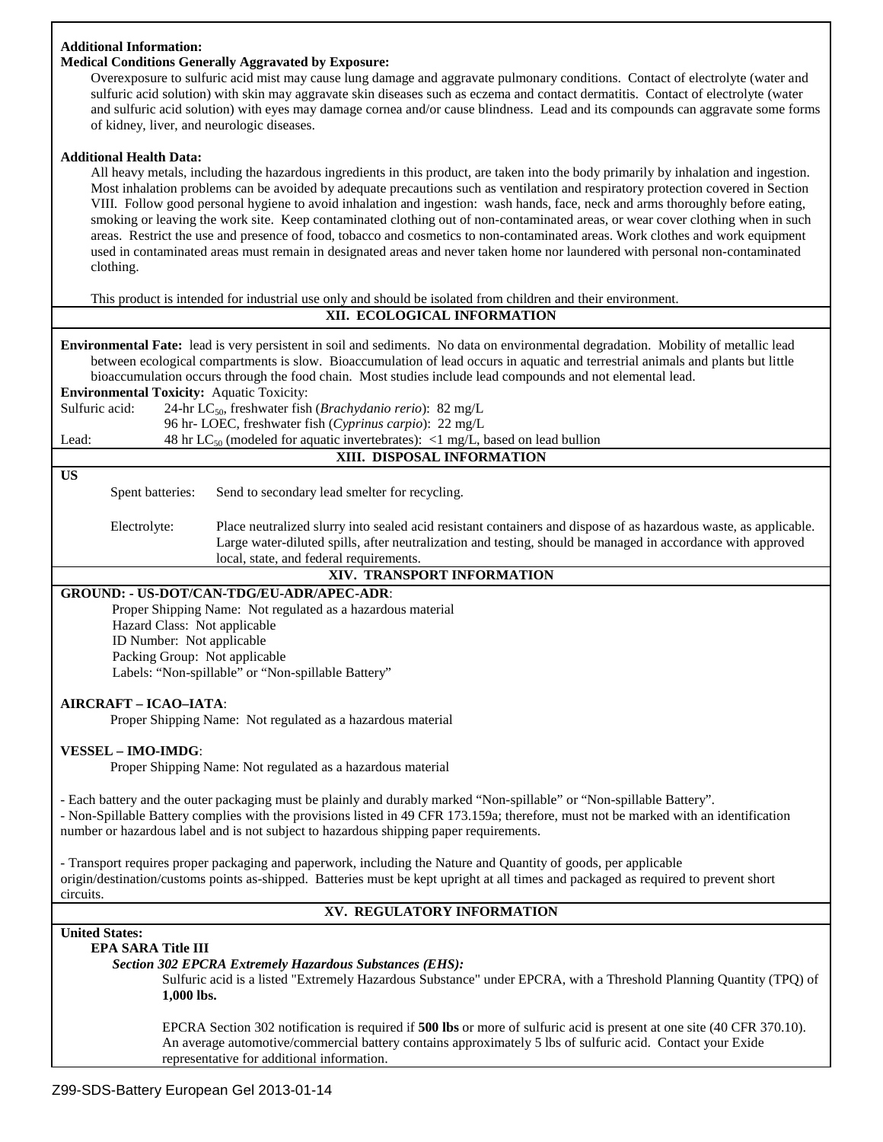# **Additional Information:**

# **Medical Conditions Generally Aggravated by Exposure:**

Overexposure to sulfuric acid mist may cause lung damage and aggravate pulmonary conditions. Contact of electrolyte (water and sulfuric acid solution) with skin may aggravate skin diseases such as eczema and contact dermatitis. Contact of electrolyte (water and sulfuric acid solution) with eyes may damage cornea and/or cause blindness. Lead and its compounds can aggravate some forms of kidney, liver, and neurologic diseases.

## **Additional Health Data:**

All heavy metals, including the hazardous ingredients in this product, are taken into the body primarily by inhalation and ingestion. Most inhalation problems can be avoided by adequate precautions such as ventilation and respiratory protection covered in Section VIII. Follow good personal hygiene to avoid inhalation and ingestion: wash hands, face, neck and arms thoroughly before eating, smoking or leaving the work site. Keep contaminated clothing out of non-contaminated areas, or wear cover clothing when in such areas. Restrict the use and presence of food, tobacco and cosmetics to non-contaminated areas. Work clothes and work equipment used in contaminated areas must remain in designated areas and never taken home nor laundered with personal non-contaminated clothing.

This product is intended for industrial use only and should be isolated from children and their environment.

# **XII. ECOLOGICAL INFORMATION**

**Environmental Fate:** lead is very persistent in soil and sediments. No data on environmental degradation. Mobility of metallic lead between ecological compartments is slow. Bioaccumulation of lead occurs in aquatic and terrestrial animals and plants but little bioaccumulation occurs through the food chain. Most studies include lead compounds and not elemental lead.

**Environmental Toxicity:** Aquatic Toxicity:

Sulfuric acid: 24-hr LC<sub>50</sub>, freshwater fish (*Brachydanio rerio*): 82 mg/L

96 hr- LOEC, freshwater fish (*Cyprinus carpio*): 22 mg/L

Lead: 48 hr  $LC_{50}$  (modeled for aquatic invertebrates): <1 mg/L, based on lead bullion

#### **US**

Spent batteries: Send to secondary lead smelter for recycling.

Electrolyte: Place neutralized slurry into sealed acid resistant containers and dispose of as hazardous waste, as applicable. Large water-diluted spills, after neutralization and testing, should be managed in accordance with approved local, state, and federal requirements.

# **XIV. TRANSPORT INFORMATION**

**XIII. DISPOSAL INFORMATION**

# **GROUND: - US-DOT/CAN-TDG/EU-ADR/APEC-ADR**:

 Proper Shipping Name: Not regulated as a hazardous material Hazard Class: Not applicable ID Number: Not applicable Packing Group: Not applicable Labels: "Non-spillable" or "Non-spillable Battery"

## **AIRCRAFT – ICAO–IATA**:

Proper Shipping Name: Not regulated as a hazardous material

## **VESSEL – IMO-IMDG**:

Proper Shipping Name: Not regulated as a hazardous material

- Each battery and the outer packaging must be plainly and durably marked "Non-spillable" or "Non-spillable Battery".

- Non-Spillable Battery complies with the provisions listed in 49 CFR 173.159a; therefore, must not be marked with an identification number or hazardous label and is not subject to hazardous shipping paper requirements.

- Transport requires proper packaging and paperwork, including the Nature and Quantity of goods, per applicable origin/destination/customs points as-shipped. Batteries must be kept upright at all times and packaged as required to prevent short circuits.

# **XV. REGULATORY INFORMATION**

# **United States:**

## **EPA SARA Title III**

*Section 302 EPCRA Extremely Hazardous Substances (EHS):*

Sulfuric acid is a listed "Extremely Hazardous Substance" under EPCRA, with a Threshold Planning Quantity (TPQ) of **1,000 lbs.**

EPCRA Section 302 notification is required if **500 lbs** or more of sulfuric acid is present at one site (40 CFR 370.10). An average automotive/commercial battery contains approximately 5 lbs of sulfuric acid. Contact your Exide representative for additional information.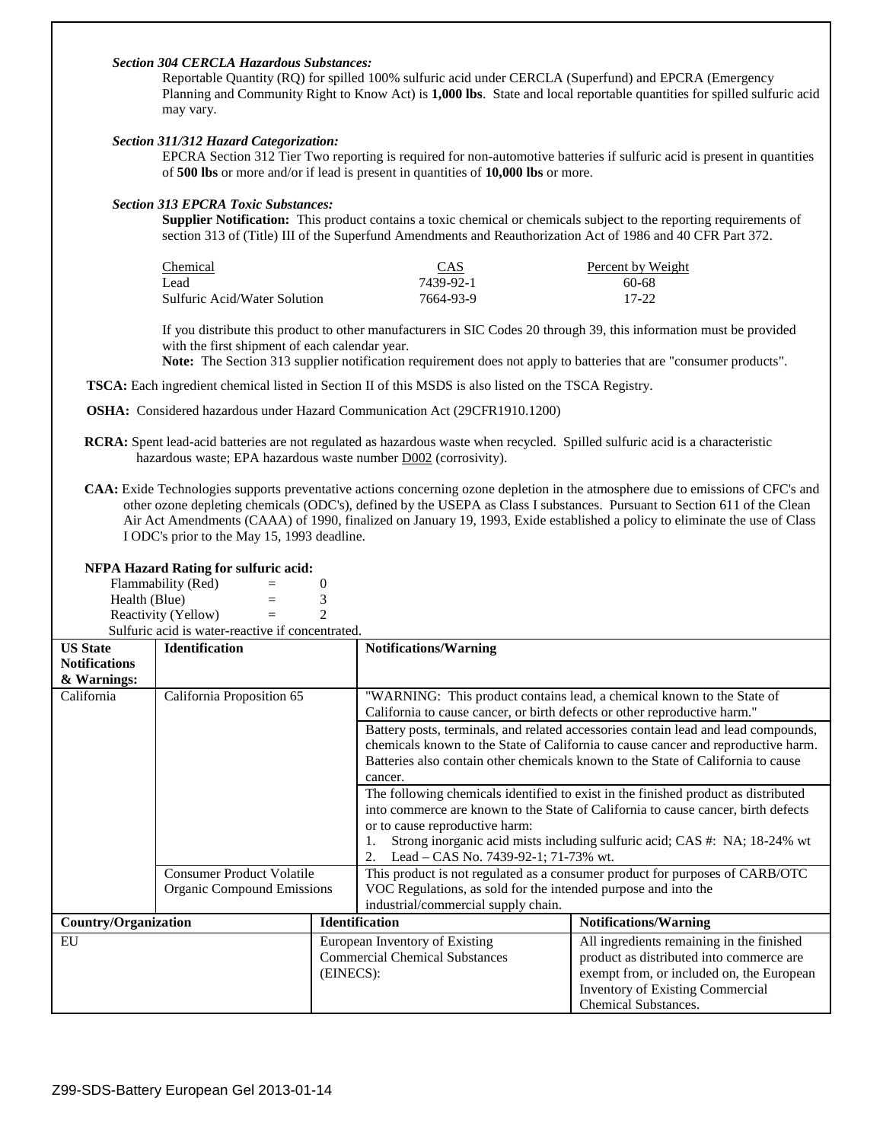# *Section 304 CERCLA Hazardous Substances:*

Reportable Quantity (RQ) for spilled 100% sulfuric acid under CERCLA (Superfund) and EPCRA (Emergency Planning and Community Right to Know Act) is **1,000 lbs**. State and local reportable quantities for spilled sulfuric acid may vary.

#### *Section 311/312 Hazard Categorization:*

EPCRA Section 312 Tier Two reporting is required for non-automotive batteries if sulfuric acid is present in quantities of **500 lbs** or more and/or if lead is present in quantities of **10,000 lbs** or more.

## *Section 313 EPCRA Toxic Substances:*

**Supplier Notification:** This product contains a toxic chemical or chemicals subject to the reporting requirements of section 313 of (Title) III of the Superfund Amendments and Reauthorization Act of 1986 and 40 CFR Part 372.

| CAS       | Percent by Weight |
|-----------|-------------------|
| 7439-92-1 | 60-68             |
| 7664-93-9 | 17-22             |
|           |                   |

If you distribute this product to other manufacturers in SIC Codes 20 through 39, this information must be provided with the first shipment of each calendar year.

**Note:** The Section 313 supplier notification requirement does not apply to batteries that are "consumer products".

**TSCA:** Each ingredient chemical listed in Section II of this MSDS is also listed on the TSCA Registry.

- **OSHA:** Considered hazardous under Hazard Communication Act (29CFR1910.1200)
- **RCRA:** Spent lead-acid batteries are not regulated as hazardous waste when recycled. Spilled sulfuric acid is a characteristic hazardous waste; EPA hazardous waste number D002 (corrosivity).
- **CAA:** Exide Technologies supports preventative actions concerning ozone depletion in the atmosphere due to emissions of CFC's and other ozone depleting chemicals (ODC's), defined by the USEPA as Class I substances. Pursuant to Section 611 of the Clean Air Act Amendments (CAAA) of 1990, finalized on January 19, 1993, Exide established a policy to eliminate the use of Class I ODC's prior to the May 15, 1993 deadline.

#### **NFPA Hazard Rating for sulfuric acid:**

 $Flammability (Red)$  = 0 Health (Blue)  $=$  3 Reactivity (Yellow)  $=$  2 Sulfuric acid is water-reactive if concentrated.

|                                         | ошнине аспить water-педенте и солесните. |                                                                              |                                                                                                                                                                         |                                                                                   |  |  |
|-----------------------------------------|------------------------------------------|------------------------------------------------------------------------------|-------------------------------------------------------------------------------------------------------------------------------------------------------------------------|-----------------------------------------------------------------------------------|--|--|
| <b>US State</b><br><b>Notifications</b> | <b>Identification</b>                    |                                                                              | <b>Notifications/Warning</b>                                                                                                                                            |                                                                                   |  |  |
| & Warnings:                             |                                          |                                                                              |                                                                                                                                                                         |                                                                                   |  |  |
| California                              | California Proposition 65                |                                                                              | "WARNING: This product contains lead, a chemical known to the State of<br>California to cause cancer, or birth defects or other reproductive harm."                     |                                                                                   |  |  |
|                                         |                                          |                                                                              | Battery posts, terminals, and related accessories contain lead and lead compounds,                                                                                      |                                                                                   |  |  |
|                                         |                                          |                                                                              |                                                                                                                                                                         | chemicals known to the State of California to cause cancer and reproductive harm. |  |  |
|                                         |                                          |                                                                              |                                                                                                                                                                         | Batteries also contain other chemicals known to the State of California to cause  |  |  |
|                                         |                                          |                                                                              | cancer.                                                                                                                                                                 |                                                                                   |  |  |
|                                         |                                          |                                                                              |                                                                                                                                                                         |                                                                                   |  |  |
|                                         |                                          |                                                                              | The following chemicals identified to exist in the finished product as distributed<br>into commerce are known to the State of California to cause cancer, birth defects |                                                                                   |  |  |
|                                         |                                          |                                                                              | or to cause reproductive harm:                                                                                                                                          |                                                                                   |  |  |
|                                         |                                          |                                                                              |                                                                                                                                                                         |                                                                                   |  |  |
|                                         |                                          |                                                                              | Strong inorganic acid mists including sulfuric acid; CAS #: NA; 18-24% wt<br>Lead – CAS No. 7439-92-1; 71-73% wt.<br>2.                                                 |                                                                                   |  |  |
|                                         | <b>Consumer Product Volatile</b>         | This product is not regulated as a consumer product for purposes of CARB/OTC |                                                                                                                                                                         |                                                                                   |  |  |
|                                         | Organic Compound Emissions               |                                                                              | VOC Regulations, as sold for the intended purpose and into the                                                                                                          |                                                                                   |  |  |
|                                         |                                          |                                                                              | industrial/commercial supply chain.                                                                                                                                     |                                                                                   |  |  |
| <b>Country/Organization</b>             |                                          | <b>Identification</b>                                                        | <b>Notifications/Warning</b>                                                                                                                                            |                                                                                   |  |  |
| EU                                      |                                          |                                                                              | European Inventory of Existing                                                                                                                                          | All ingredients remaining in the finished                                         |  |  |
|                                         |                                          |                                                                              | <b>Commercial Chemical Substances</b>                                                                                                                                   | product as distributed into commerce are                                          |  |  |
|                                         |                                          | (EINECS):                                                                    |                                                                                                                                                                         | exempt from, or included on, the European                                         |  |  |
|                                         |                                          |                                                                              | <b>Inventory of Existing Commercial</b>                                                                                                                                 |                                                                                   |  |  |
|                                         |                                          |                                                                              | <b>Chemical Substances.</b>                                                                                                                                             |                                                                                   |  |  |